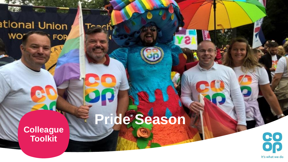### ational Union WO' **FOR**

 $\frac{1}{2}$ 

 $R<sub>l</sub>$ 

麻衣

**Pride Season**

**Colleague Toolkit**

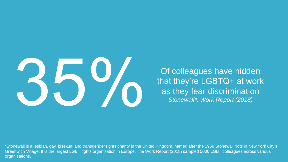

Of colleagues have hidden that they're LGBTQ+ at work as they fear discrimination *Stonewall\*, Work Report (2018)*

\*Stonewall is a lesbian, gay, bisexual and transgender rights charity in the United Kingdom, named after the 1969 Stonewall riots in New York City's Greenwich Village. It is the largest LGBT rights organisation in Europe. The Work Report (2018) sampled 5000 LGBT colleagues across various organisations.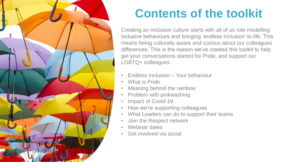

# **Contents of the toolkit**

Creating an inclusive culture starts with all of us role modelling inclusive behaviours and bringing 'endless inclusion' to life. This means being culturally aware and curious about our colleagues differences. This is the reason we've created this toolkit to help get your conversations started for Pride, and support our LGBTQ+ colleagues

- Endless Inclusion Your behaviour
- What is Pride
- Meaning behind the rainbow
- Problem with pinkwashing
- Impact of Covid-19
- How we're supporting colleagues
- What Leaders can do to support their teams
- Join the Respect network
- Webinar dates
- Get involved via social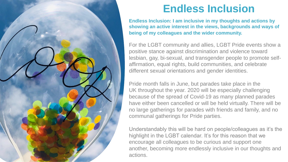

### **Endless Inclusion**

**Endless Inclusion: I am inclusive in my thoughts and actions by showing an active interest in the views, backgrounds and ways of being of my colleagues and the wider community.**

For the LGBT community and allies, LGBT Pride events show a positive stance against discrimination and violence toward lesbian, gay, bi-sexual, and transgender people to promote selfaffirmation, equal rights, build communities, and celebrate different sexual orientations and gender identities.

Pride month falls in June, but parades take place in the UK throughout the year. 2020 will be especially challenging because of the spread of Covid-19 as many planned parades have either been cancelled or will be held virtually. There will be no large gatherings for parades with friends and family, and no communal gatherings for Pride parties.

Understandably this will be hard on people/colleagues as it's the highlight in the LGBT calendar. It's for this reason that we encourage all colleagues to be curious and support one another, becoming more endlessly inclusive in our thoughts and actions.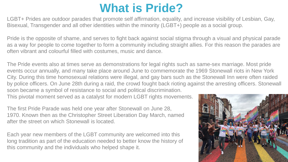### **What is Pride?**

LGBT+ Prides are outdoor parades that promote self affirmation, equality, and increase visibility of Lesbian, Gay, Bisexual, Transgender and all other identities within the minority (LGBT+) people as a social group.

Pride is the opposite of shame, and serves to fight back against social stigma through a visual and physical parade as a way for people to come together to form a community including straight allies. For this reason the parades are often vibrant and colourful filled with costumes, music and dance.

The Pride events also at times serve as demonstrations for legal rights such as same-sex marriage. Most pride events occur annually, and many take place around June to commemorate the 1969 Stonewall riots in New York City. During this time homosexual relations were illegal, and gay bars such as the Stonewall Inn were often raided by police officers. On June 28th during a raid, the crowd fought back rioting against the arresting officers. Stonewall soon became a symbol of resistance to social and political discrimination.

This pivotal moment served as a catalyst for modern LGBT rights movements.

The first Pride Parade was held one year after Stonewall on June 28, 1970. Known then as the Christopher Street Liberation Day March, named after the street on which Stonewall is located.

Each year new members of the LGBT community are welcomed into this long tradition as part of the education needed to better know the history of this community and the individuals who helped shape it.

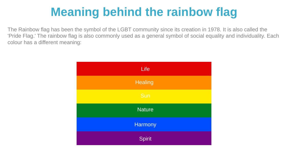# **Meaning behind the rainbow flag**

The Rainbow flag has been the symbol of the LGBT community since its creation in 1978. It is also called the 'Pride Flag.' The rainbow flag is also commonly used as a general symbol of social equality and individuality. Each colour has a different meaning:

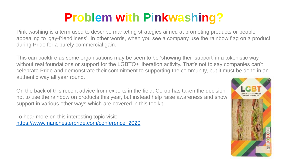# **Problem with Pinkwashing?**

Pink washing is a term used to describe marketing strategies aimed at promoting products or people appealing to 'gay-friendliness'. In other words, when you see a company use the rainbow flag on a product during Pride for a purely commercial gain.

This can backfire as some organisations may be seen to be 'showing their support' in a tokenistic way, without real foundations or support for the LGBTQ+ liberation activity. That's not to say companies can't celebrate Pride and demonstrate their commitment to supporting the community, but it must be done in an authentic way all year round.

On the back of this recent advice from experts in the field, Co-op has taken the decision not to use the rainbow on products this year, but instead help raise awareness and show support in various other ways which are covered in this toolkit.

To hear more on this interesting topic visit: [https://www.manchesterpride.com/conference\\_2020](https://www.manchesterpride.com/conference_2020)

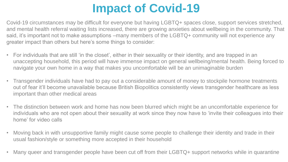# **Impact of Covid-19**

Covid-19 circumstances may be difficult for everyone but having LGBTQ+ spaces close, support services stretched, and mental health referral waiting lists increased, there are growing anxieties about wellbeing in the community. That said, it's important not to make assumptions –many members of the LGBTQ+ community will not experience any greater impact than others but here's some things to consider:

- For individuals that are still 'in the closet', either in their sexuality or their identity, and are trapped in an unaccepting household, this period will have immense impact on general wellbeing/mental health. Being forced to navigate your own home in a way that makes you uncomfortable will be an unimaginable burden
- Transgender individuals have had to pay out a considerable amount of money to stockpile hormone treatments out of fear it'll become unavailable because British Biopolitics consistently views transgender healthcare as less important than other medical areas
- The distinction between work and home has now been blurred which might be an uncomfortable experience for individuals who are not open about their sexuality at work since they now have to 'invite their colleagues into their home' for video calls
- Moving back in with unsupportive family might cause some people to challenge their identity and trade in their usual fashion/style or something more accepted in their household
- Many queer and transgender people have been cut off from their LGBTQ+ support networks while in quarantine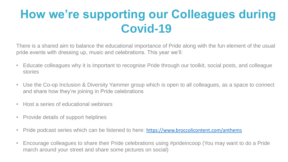# **How we're supporting our Colleagues during Covid-19**

There is a shared aim to balance the educational importance of Pride along with the fun element of the usual pride events with dressing up, music and celebrations. This year we'll:

- Educate colleagues why it is important to recognise Pride through our toolkit, social posts, and colleague stories
- Use the Co-op Inclusion & Diversity Yammer group which is open to all colleagues, as a space to connect and share how they're joining in Pride celebrations
- Host a series of educational webinars
- Provide details of support helplines
- Pride podcast series which can be listened to here: <https://www.broccolicontent.com/anthems>
- Encourage colleagues to share their Pride celebrations using #prideincoop (You may want to do a Pride march around your street and share some pictures on social)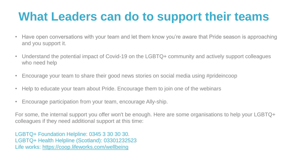## **What Leaders can do to support their teams**

- Have open conversations with your team and let them know you're aware that Pride season is approaching and you support it.
- Understand the potential impact of Covid-19 on the LGBTQ+ community and actively support colleagues who need help
- Encourage your team to share their good news stories on social media using #prideincoop
- Help to educate your team about Pride. Encourage them to join one of the webinars
- Encourage participation from your team, encourage Ally-ship.

For some, the internal support you offer won't be enough. Here are some organisations to help your LGBTQ+ colleagues if they need additional support at this time:

LGBTQ+ Foundation Helpline: 0345 3 30 30 30. LGBTQ+ Health Helpline (Scotland): 03301232523 Life works:<https://coop.lifeworks.com/wellbeing>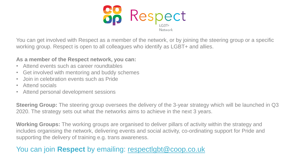

You can get involved with Respect as a member of the network, or by joining the steering group or a specific working group. Respect is open to all colleagues who identify as LGBT+ and allies.

#### **As a member of the Respect network, you can:**

- Attend events such as career roundtables
- Get involved with mentoring and buddy schemes
- Join in celebration events such as Pride
- Attend socials
- Attend personal development sessions

**Steering Group:** The steering group oversees the delivery of the 3-year strategy which will be launched in Q3 2020. The strategy sets out what the networks aims to achieve in the next 3 years.

**Working Groups:** The working groups are organised to deliver pillars of activity within the strategy and includes organising the network, delivering events and social activity, co-ordinating support for Pride and supporting the delivery of training e.g. trans awareness.

### You can join **Respect** by emailing: [respectlgbt@coop.co.uk](mailto:respectlgbt@coop.co.uk)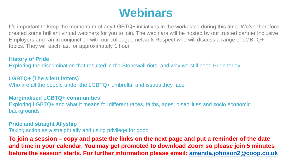### **Webinars**

It's important to keep the momentum of any LGBTQ+ initiatives in the workplace during this time. We've therefore created some brilliant virtual webinars for you to join. The webinars will be hosted by our trusted partner Inclusive Employers and ran in conjunction with our colleague network Respect who will discuss a range of LGBTQ+ topics. They will each last for approximately 1 hour.

#### **History of Pride**

Exploring the discrimination that resulted in the Stonewall riots, and why we still need Pride today

### **LGBTQ+ (The silent letters)**

Who are all the people under the LGBTQ+ umbrella, and issues they face

#### **Marginalised LGBTQ+ communities**

Exploring LGBTQ+ and what it means for different races, faiths, ages, disabilities and socio economic backgrounds

**Pride and straight Allyship** 

Taking action as a straight ally and using privilege for good

**To join a session – copy and paste the links on the next page and put a reminder of the date and time in your calendar. You may get promoted to download Zoom so please join 5 minutes before the session starts. For further information please email: [amanda.johnson2@coop.co.uk](mailto:amanda.johnson2@coop.co.uk)**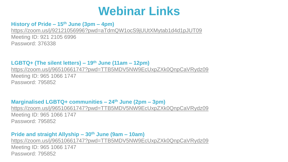### **Webinar Links**

### **History of Pride – 15th June (3pm – 4pm)**

<https://zoom.us/j/92121056996?pwd=aTdmQW1ocS9jUUtXMytab1d4d1pJUT09> Meeting ID: 921 2105 6996 Password: 376338

#### **LGBTQ+ (The silent letters) – 19th June (11am – 12pm)**

<https://zoom.us/j/96510661747?pwd=TTB5MDV5NW9EcUxpZXk0QnpCaVRydz09> Meeting ID: 965 1066 1747 Password: 795852

**Marginalised LGBTQ+ communities – 24th June (2pm – 3pm)** <https://zoom.us/j/96510661747?pwd=TTB5MDV5NW9EcUxpZXk0QnpCaVRydz09> Meeting ID: 965 1066 1747 Password: 795852

#### **Pride and straight Allyship – 30th June (9am – 10am)**

<https://zoom.us/j/96510661747?pwd=TTB5MDV5NW9EcUxpZXk0QnpCaVRydz09> Meeting ID: 965 1066 1747 Password: 795852